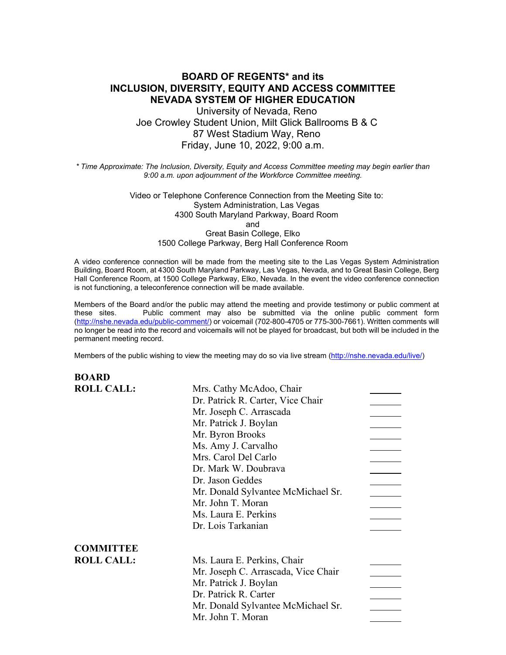# **BOARD OF REGENTS\* and its INCLUSION, DIVERSITY, EQUITY AND ACCESS COMMITTEE NEVADA SYSTEM OF HIGHER EDUCATION**

University of Nevada, Reno Joe Crowley Student Union, Milt Glick Ballrooms B & C 87 West Stadium Way, Reno Friday, June 10, 2022, 9:00 a.m.

*\* Time Approximate: The Inclusion, Diversity, Equity and Access Committee meeting may begin earlier than 9:00 a.m. upon adjournment of the Workforce Committee meeting.*

> Video or Telephone Conference Connection from the Meeting Site to: System Administration, Las Vegas 4300 South Maryland Parkway, Board Room and Great Basin College, Elko 1500 College Parkway, Berg Hall Conference Room

A video conference connection will be made from the meeting site to the Las Vegas System Administration Building, Board Room, at 4300 South Maryland Parkway, Las Vegas, Nevada, and to Great Basin College, Berg Hall Conference Room, at 1500 College Parkway, Elko, Nevada. In the event the video conference connection is not functioning, a teleconference connection will be made available.

Members of the Board and/or the public may attend the meeting and provide testimony or public comment at these sites. Public comment may also be submitted via the online public comment form [\(http://nshe.nevada.edu/public-comment/\)](http://nshe.nevada.edu/public-comment/) or voicemail (702-800-4705 or 775-300-7661). Written comments will no longer be read into the record and voicemails will not be played for broadcast, but both will be included in the permanent meeting record.

Members of the public wishing to view the meeting may do so via live stream [\(http://nshe.nevada.edu/live/\)](http://nshe.nevada.edu/live/)

| <b>BOARD</b>      |                                     |  |
|-------------------|-------------------------------------|--|
| <b>ROLL CALL:</b> | Mrs. Cathy McAdoo, Chair            |  |
|                   | Dr. Patrick R. Carter, Vice Chair   |  |
|                   | Mr. Joseph C. Arrascada             |  |
|                   | Mr. Patrick J. Boylan               |  |
|                   | Mr. Byron Brooks                    |  |
|                   | Ms. Amy J. Carvalho                 |  |
|                   | Mrs. Carol Del Carlo                |  |
|                   | Dr. Mark W. Doubrava                |  |
|                   | Dr. Jason Geddes                    |  |
|                   | Mr. Donald Sylvantee McMichael Sr.  |  |
|                   | Mr. John T. Moran                   |  |
|                   | Ms. Laura E. Perkins                |  |
|                   | Dr. Lois Tarkanian                  |  |
| <b>COMMITTEE</b>  |                                     |  |
| <b>ROLL CALL:</b> | Ms. Laura E. Perkins, Chair         |  |
|                   | Mr. Joseph C. Arrascada, Vice Chair |  |
|                   | Mr. Patrick J. Boylan               |  |
|                   | Dr. Patrick R. Carter               |  |
|                   | Mr. Donald Sylvantee McMichael Sr.  |  |
|                   | Mr. John T. Moran                   |  |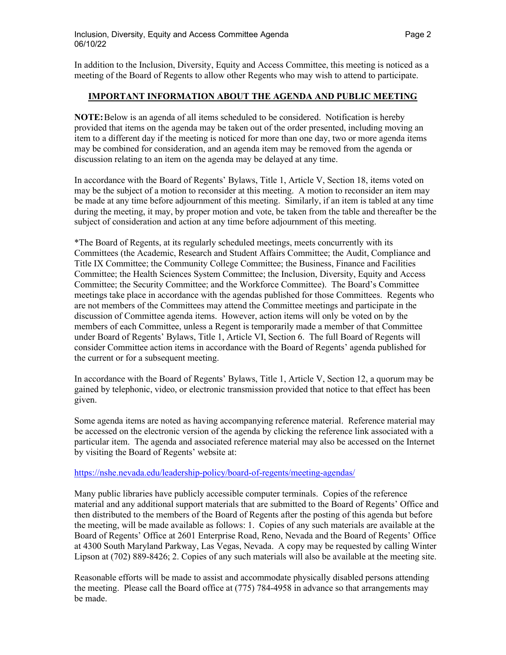In addition to the Inclusion, Diversity, Equity and Access Committee, this meeting is noticed as a meeting of the Board of Regents to allow other Regents who may wish to attend to participate.

### **IMPORTANT INFORMATION ABOUT THE AGENDA AND PUBLIC MEETING**

**NOTE:**Below is an agenda of all items scheduled to be considered. Notification is hereby provided that items on the agenda may be taken out of the order presented, including moving an item to a different day if the meeting is noticed for more than one day, two or more agenda items may be combined for consideration, and an agenda item may be removed from the agenda or discussion relating to an item on the agenda may be delayed at any time.

In accordance with the Board of Regents' Bylaws, Title 1, Article V, Section 18, items voted on may be the subject of a motion to reconsider at this meeting. A motion to reconsider an item may be made at any time before adjournment of this meeting. Similarly, if an item is tabled at any time during the meeting, it may, by proper motion and vote, be taken from the table and thereafter be the subject of consideration and action at any time before adjournment of this meeting.

\*The Board of Regents, at its regularly scheduled meetings, meets concurrently with its Committees (the Academic, Research and Student Affairs Committee; the Audit, Compliance and Title IX Committee; the Community College Committee; the Business, Finance and Facilities Committee; the Health Sciences System Committee; the Inclusion, Diversity, Equity and Access Committee; the Security Committee; and the Workforce Committee). The Board's Committee meetings take place in accordance with the agendas published for those Committees. Regents who are not members of the Committees may attend the Committee meetings and participate in the discussion of Committee agenda items. However, action items will only be voted on by the members of each Committee, unless a Regent is temporarily made a member of that Committee under Board of Regents' Bylaws, Title 1, Article VI, Section 6. The full Board of Regents will consider Committee action items in accordance with the Board of Regents' agenda published for the current or for a subsequent meeting.

In accordance with the Board of Regents' Bylaws, Title 1, Article V, Section 12, a quorum may be gained by telephonic, video, or electronic transmission provided that notice to that effect has been given.

Some agenda items are noted as having accompanying reference material. Reference material may be accessed on the electronic version of the agenda by clicking the reference link associated with a particular item. The agenda and associated reference material may also be accessed on the Internet by visiting the Board of Regents' website at:

### <https://nshe.nevada.edu/leadership-policy/board-of-regents/meeting-agendas/>

Many public libraries have publicly accessible computer terminals. Copies of the reference material and any additional support materials that are submitted to the Board of Regents' Office and then distributed to the members of the Board of Regents after the posting of this agenda but before the meeting, will be made available as follows: 1. Copies of any such materials are available at the Board of Regents' Office at 2601 Enterprise Road, Reno, Nevada and the Board of Regents' Office at 4300 South Maryland Parkway, Las Vegas, Nevada. A copy may be requested by calling Winter Lipson at (702) 889-8426; 2. Copies of any such materials will also be available at the meeting site.

Reasonable efforts will be made to assist and accommodate physically disabled persons attending the meeting. Please call the Board office at (775) 784-4958 in advance so that arrangements may be made.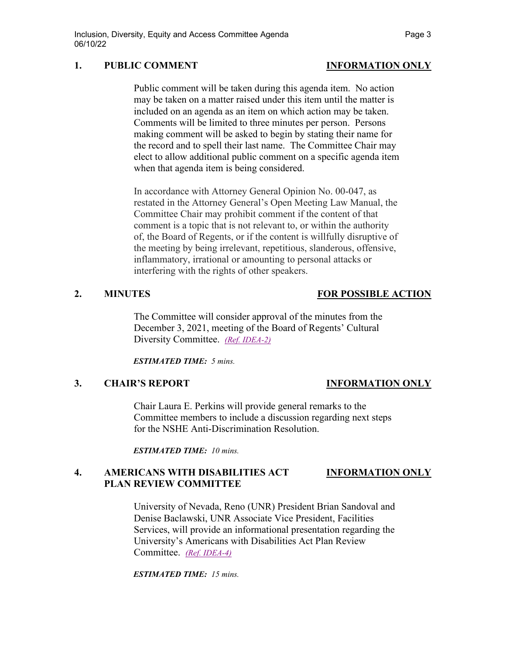# **1. PUBLIC COMMENT INFORMATION ONLY**

Public comment will be taken during this agenda item. No action may be taken on a matter raised under this item until the matter is included on an agenda as an item on which action may be taken. Comments will be limited to three minutes per person. Persons making comment will be asked to begin by stating their name for the record and to spell their last name. The Committee Chair may elect to allow additional public comment on a specific agenda item when that agenda item is being considered.

In accordance with Attorney General Opinion No. 00-047, as restated in the Attorney General's Open Meeting Law Manual, the Committee Chair may prohibit comment if the content of that comment is a topic that is not relevant to, or within the authority of, the Board of Regents, or if the content is willfully disruptive of the meeting by being irrelevant, repetitious, slanderous, offensive, inflammatory, irrational or amounting to personal attacks or interfering with the rights of other speakers.

## **2. MINUTES FOR POSSIBLE ACTION**

The Committee will consider approval of the minutes from the December 3, 2021, meeting of the Board of Regents' Cultural Diversity Committee. *[\(Ref. IDEA-2\)](https://nshe.nevada.edu/wp-content/uploads/file/BoardOfRegents/Agendas/2022/06-jun-mtgs/idea-refs/IDEA-2.pdf)*

*ESTIMATED TIME: 5 mins.*

# **3. CHAIR'S REPORT INFORMATION ONLY**

Chair Laura E. Perkins will provide general remarks to the Committee members to include a discussion regarding next steps for the NSHE Anti-Discrimination Resolution.

*ESTIMATED TIME: 10 mins.*

# **4. AMERICANS WITH DISABILITIES ACT INFORMATION ONLY PLAN REVIEW COMMITTEE**

University of Nevada, Reno (UNR) President Brian Sandoval and Denise Baclawski, UNR Associate Vice President, Facilities Services, will provide an informational presentation regarding the University's Americans with Disabilities Act Plan Review Committee. *[\(Ref. IDEA-4\)](https://nshe.nevada.edu/wp-content/uploads/file/BoardOfRegents/Agendas/2022/06-jun-mtgs/idea-refs/IDEA-4.pdf)*

*ESTIMATED TIME: 15 mins.*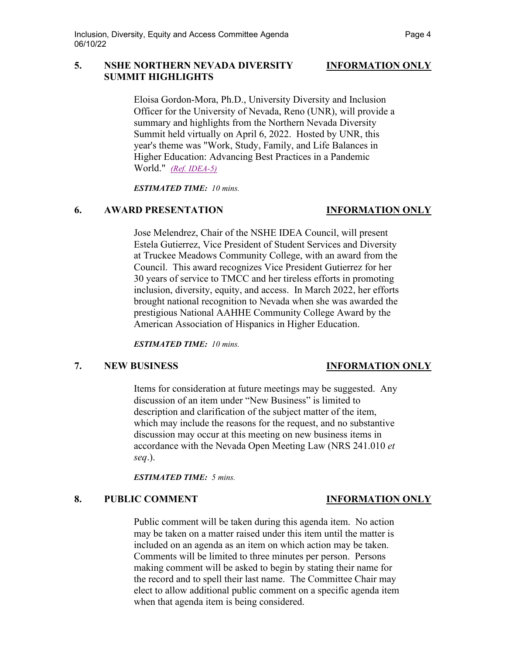## **5. NSHE NORTHERN NEVADA DIVERSITY INFORMATION ONLY SUMMIT HIGHLIGHTS**

Eloisa Gordon-Mora, Ph.D., University Diversity and Inclusion Officer for the University of Nevada, Reno (UNR), will provide a summary and highlights from the Northern Nevada Diversity Summit held virtually on April 6, 2022. Hosted by UNR, this year's theme was "Work, Study, Family, and Life Balances in Higher Education: Advancing Best Practices in a Pandemic World." *[\(Ref. IDEA-5\)](https://nshe.nevada.edu/wp-content/uploads/file/BoardOfRegents/Agendas/2022/06-jun-mtgs/idea-refs/IDEA-5.pdf)*

*ESTIMATED TIME: 10 mins.*

### **6. AWARD PRESENTATION INFORMATION ONLY**

Jose Melendrez, Chair of the NSHE IDEA Council, will present Estela Gutierrez, Vice President of Student Services and Diversity at Truckee Meadows Community College, with an award from the Council. This award recognizes Vice President Gutierrez for her 30 years of service to TMCC and her tireless efforts in promoting inclusion, diversity, equity, and access. In March 2022, her efforts brought national recognition to Nevada when she was awarded the prestigious National AAHHE Community College Award by the American Association of Hispanics in Higher Education.

*ESTIMATED TIME: 10 mins.*

## **7. NEW BUSINESS INFORMATION ONLY**

Items for consideration at future meetings may be suggested. Any discussion of an item under "New Business" is limited to description and clarification of the subject matter of the item, which may include the reasons for the request, and no substantive discussion may occur at this meeting on new business items in accordance with the Nevada Open Meeting Law (NRS 241.010 *et seq*.).

*ESTIMATED TIME: 5 mins.*

### **8. PUBLIC COMMENT INFORMATION ONLY**

Public comment will be taken during this agenda item. No action may be taken on a matter raised under this item until the matter is included on an agenda as an item on which action may be taken. Comments will be limited to three minutes per person. Persons making comment will be asked to begin by stating their name for the record and to spell their last name. The Committee Chair may elect to allow additional public comment on a specific agenda item when that agenda item is being considered.